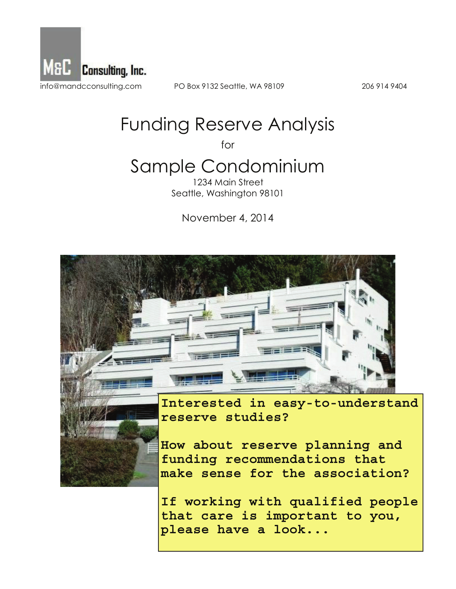

PO Box 9132 Seattle, WA 98109

206 914 9404

# **Funding Reserve Analysis**

for

# Sample Condominium

1234 Main Street Seattle, Washington 98101

November 4, 2014





How about reserve planning and funding recommendations that make sense for the association?

If working with qualified people that care is important to you, please have a look...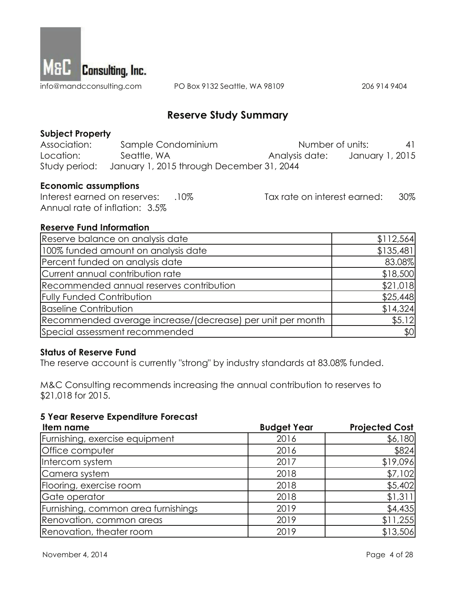

PO Box 9132 Seattle, WA 98109

206 914 9404

### **Reserve Study Summary**

#### **Subject Property**

| Association: | Sample Condominium                                      | Number of units: | 41              |
|--------------|---------------------------------------------------------|------------------|-----------------|
| Location:    | Seattle, WA                                             | Analysis date:   | January 1, 2015 |
|              | Study period: January 1, 2015 through December 31, 2044 |                  |                 |

#### **Economic assumptions**

Tax rate on interest earned: Interest earned on reserves: .10% 30% Annual rate of inflation: 3.5%

#### **Reserve Fund Information**

| Reserve balance on analysis date                           | \$112,564 |
|------------------------------------------------------------|-----------|
| 100% funded amount on analysis date                        | \$135,481 |
| Percent funded on analysis date                            | 83.08%    |
| Current annual contribution rate                           | \$18,500  |
| Recommended annual reserves contribution                   | \$21,018  |
| <b>Fully Funded Contribution</b>                           | \$25,448  |
| <b>Baseline Contribution</b>                               | \$14,324  |
| Recommended average increase/(decrease) per unit per month | \$5.12    |
| Special assessment recommended                             | \$0       |

#### **Status of Reserve Fund**

The reserve account is currently "strong" by industry standards at 83.08% funded.

M&C Consulting recommends increasing the annual contribution to reserves to \$21,018 for 2015.

#### **5 Year Reserve Expenditure Forecast**

| Item name                           | <b>Budget Year</b> | <b>Projected Cost</b> |
|-------------------------------------|--------------------|-----------------------|
| Furnishing, exercise equipment      | 2016               | \$6,180               |
| Office computer                     | 2016               | \$824                 |
| Intercom system                     | 2017               | \$19,096              |
| Camera system                       | 2018               | \$7,102               |
| Flooring, exercise room             | 2018               | \$5,402               |
| Gate operator                       | 2018               | \$1,311               |
| Furnishing, common area furnishings | 2019               | \$4,435               |
| Renovation, common areas            | 2019               | \$11,255              |
| Renovation, theater room            | 2019               | \$13,506              |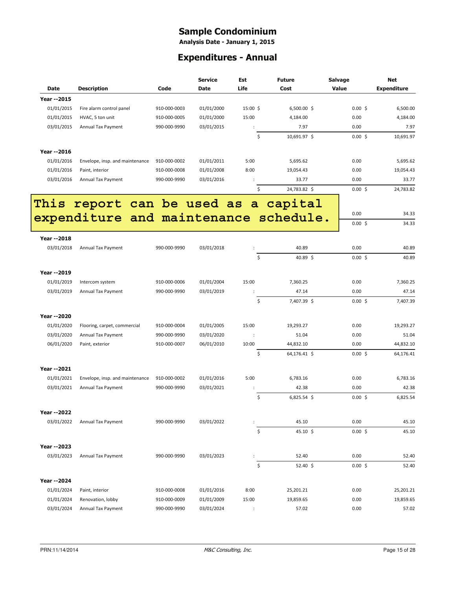# **Sample Condominium**<br>Analysis Date - January 1, 2015

### **Expenditures - Annual**

|                            |                                              |                              | <b>Service</b>           | Est                  | <b>Future</b>       | <b>Salvage</b> | <b>Net</b>         |
|----------------------------|----------------------------------------------|------------------------------|--------------------------|----------------------|---------------------|----------------|--------------------|
| <b>Date</b>                | <b>Description</b>                           | Code                         | Date                     | Life                 | Cost                | Value          | <b>Expenditure</b> |
| <b>Year --2015</b>         |                                              |                              |                          |                      |                     |                |                    |
| 01/01/2015                 | Fire alarm control panel                     | 910-000-0003                 | 01/01/2000               | 15:00 \$             | 6,500.00 \$         | $0.00$ \$      | 6,500.00           |
| 01/01/2015                 | HVAC, 5 ton unit                             | 910-000-0005                 | 01/01/2000               | 15:00                | 4,184.00            | 0.00           | 4,184.00           |
| 03/01/2015                 | Annual Tax Payment                           | 990-000-9990                 | 03/01/2015               |                      | 7.97                | 0.00           | 7.97               |
|                            |                                              |                              |                          | \$                   | 10,691.97 \$        | $0.00$ \$      | 10,691.97          |
|                            |                                              |                              |                          |                      |                     |                |                    |
| Year -- 2016               |                                              |                              |                          |                      |                     |                |                    |
| 01/01/2016<br>01/01/2016   | Envelope, insp. and maintenance              | 910-000-0002                 | 01/01/2011               | 5:00                 | 5,695.62            | 0.00           | 5,695.62           |
|                            | Paint, interior<br><b>Annual Tax Payment</b> | 910-000-0008<br>990-000-9990 | 01/01/2008<br>03/01/2016 | 8:00                 | 19,054.43<br>33.77  | 0.00<br>0.00   | 19,054.43<br>33.77 |
| 03/01/2016                 |                                              |                              |                          | \$                   | 24,783.82 \$        | $0.00$ \$      | 24,783.82          |
|                            |                                              |                              |                          |                      |                     |                |                    |
| This                       | report can be used as a capital              |                              |                          |                      |                     |                |                    |
|                            | expenditure and maintenance schedule.        |                              |                          |                      |                     | 0.00           | 34.33              |
|                            |                                              |                              |                          |                      |                     | $0.00\,$ \$    | 34.33              |
| <b>Year --2018</b>         |                                              |                              |                          |                      |                     |                |                    |
| 03/01/2018                 | Annual Tax Payment                           | 990-000-9990                 | 03/01/2018               | $\ddot{\phantom{a}}$ | 40.89               | 0.00           | 40.89              |
|                            |                                              |                              |                          | \$                   | 40.89 \$            | 0.00%          | 40.89              |
|                            |                                              |                              |                          |                      |                     |                |                    |
| Year --2019                |                                              |                              |                          |                      |                     |                |                    |
| 01/01/2019                 | Intercom system                              | 910-000-0006                 | 01/01/2004               | 15:00                | 7,360.25            | 0.00           | 7,360.25           |
| 03/01/2019                 | Annual Tax Payment                           | 990-000-9990                 | 03/01/2019               |                      | 47.14               | 0.00           | 47.14              |
|                            |                                              |                              |                          | \$                   | 7,407.39 \$         | 0.00%          | 7,407.39           |
|                            |                                              |                              |                          |                      |                     |                |                    |
| Year -- 2020<br>01/01/2020 | Flooring, carpet, commercial                 | 910-000-0004                 | 01/01/2005               | 15:00                | 19,293.27           | 0.00           | 19,293.27          |
| 03/01/2020                 | Annual Tax Payment                           | 990-000-9990                 | 03/01/2020               | $\ddot{\phantom{a}}$ | 51.04               | 0.00           | 51.04              |
| 06/01/2020                 | Paint, exterior                              | 910-000-0007                 | 06/01/2010               | 10:00                | 44,832.10           | 0.00           | 44,832.10          |
|                            |                                              |                              |                          | \$                   | 64,176.41 \$        | $0.00\;$ \$    | 64,176.41          |
|                            |                                              |                              |                          |                      |                     |                |                    |
| <b>Year --2021</b>         |                                              |                              |                          |                      |                     |                |                    |
| 01/01/2021                 | Envelope, insp. and maintenance              | 910-000-0002                 | 01/01/2016               | 5:00                 | 6,783.16            | 0.00           | 6,783.16           |
| 03/01/2021                 | Annual Tax Payment                           | 990-000-9990                 | 03/01/2021               |                      | 42.38               | 0.00           | 42.38              |
|                            |                                              |                              |                          | \$                   | $6,825.54$ \$       | $0.00$ \$      | 6,825.54           |
| Year -- 2022               |                                              |                              |                          |                      |                     |                |                    |
| 03/01/2022                 | Annual Tax Payment                           | 990-000-9990                 | 03/01/2022               |                      | 45.10               | 0.00           | 45.10              |
|                            |                                              |                              |                          | \$                   | $45.10 \; \text{S}$ | $0.00$ \$      | 45.10              |
|                            |                                              |                              |                          |                      |                     |                |                    |
| Year --2023                |                                              |                              |                          |                      |                     |                |                    |
| 03/01/2023                 | Annual Tax Payment                           | 990-000-9990                 | 03/01/2023               |                      | 52.40               | 0.00           | 52.40              |
|                            |                                              |                              |                          | \$                   | $52.40 \; \text{S}$ | $0.00\;$ \$    | 52.40              |
| Year -- 2024               |                                              |                              |                          |                      |                     |                |                    |
| 01/01/2024                 | Paint, interior                              | 910-000-0008                 | 01/01/2016               | 8:00                 | 25,201.21           | 0.00           | 25,201.21          |
| 01/01/2024                 | Renovation, lobby                            | 910-000-0009                 | 01/01/2009               | 15:00                | 19,859.65           | 0.00           | 19,859.65          |
| 03/01/2024                 | Annual Tax Payment                           | 990-000-9990                 | 03/01/2024               |                      |                     | 0.00           | 57.02              |
|                            |                                              |                              |                          | ÷                    | 57.02               |                |                    |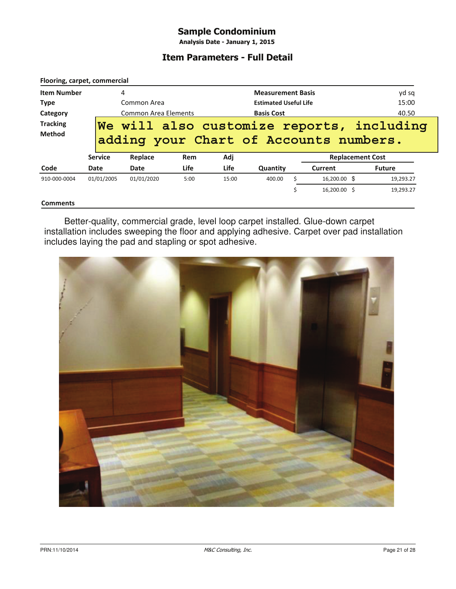#### **Sample Condominium**

Analysis Date - January 1, 2015

#### **Item Parameters - Full Detail**

|                    | Flooring, carpet, commercial |                                 |                   |       |                              |           |                                        |               |
|--------------------|------------------------------|---------------------------------|-------------------|-------|------------------------------|-----------|----------------------------------------|---------------|
| <b>Item Number</b> |                              | 4                               |                   |       | <b>Measurement Basis</b>     |           |                                        | yd sq         |
| <b>Type</b>        |                              | Common Area                     |                   |       | <b>Estimated Useful Life</b> |           |                                        | 15:00         |
| Category           |                              | <b>Common Area Elements</b>     | <b>Basis Cost</b> |       |                              | 40.50     |                                        |               |
| <b>Tracking</b>    |                              | We will also customize reports, |                   |       |                              | including |                                        |               |
| <b>Method</b>      |                              |                                 |                   |       |                              |           | adding your Chart of Accounts numbers. |               |
|                    | <b>Service</b>               |                                 |                   |       |                              |           |                                        |               |
|                    |                              | Replace                         | Rem               | Adj   |                              |           | <b>Replacement Cost</b>                |               |
| Code               | Date                         | Date                            | <b>Life</b>       | Life  | Quantity                     |           | Current                                | <b>Future</b> |
| 910-000-0004       | 01/01/2005                   | 01/01/2020                      | 5:00              | 15:00 | 400.00                       |           | 16,200.00 \$                           | 19,293.27     |

#### **Comments**

Better-quality, commercial grade, level loop carpet installed. Glue-down carpet installation includes sweeping the floor and applying adhesive. Carpet over pad installation includes laying the pad and stapling or spot adhesive.